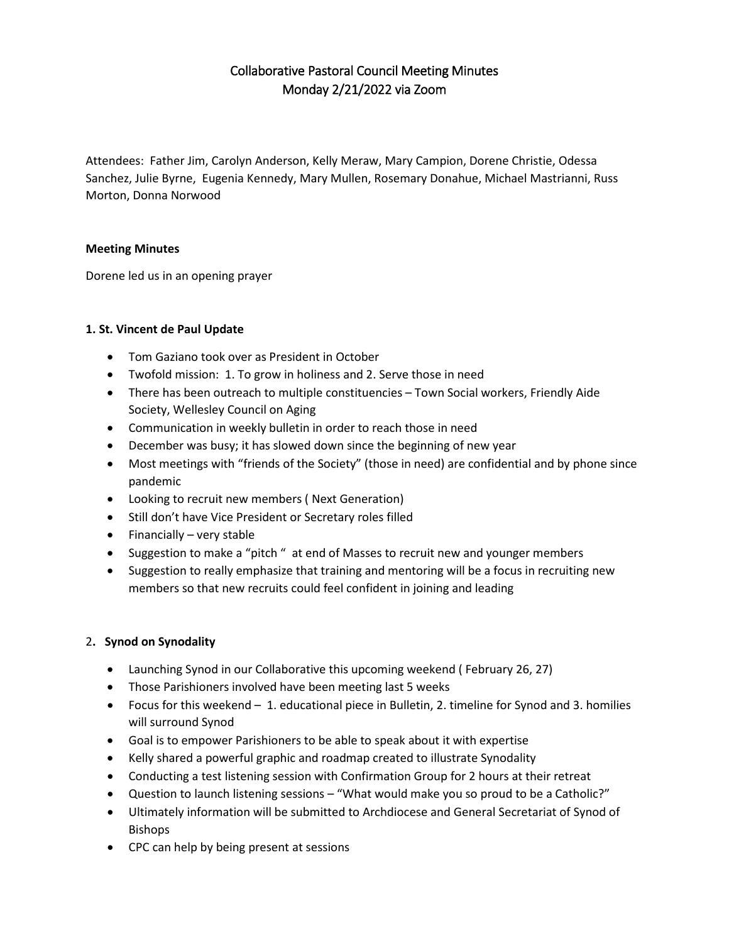# Collaborative Pastoral Council Meeting Minutes Monday 2/21/2022 via Zoom

Attendees: Father Jim, Carolyn Anderson, Kelly Meraw, Mary Campion, Dorene Christie, Odessa Sanchez, Julie Byrne, Eugenia Kennedy, Mary Mullen, Rosemary Donahue, Michael Mastrianni, Russ Morton, Donna Norwood

## **Meeting Minutes**

Dorene led us in an opening prayer

## **1. St. Vincent de Paul Update**

- Tom Gaziano took over as President in October
- Twofold mission: 1. To grow in holiness and 2. Serve those in need
- There has been outreach to multiple constituencies Town Social workers, Friendly Aide Society, Wellesley Council on Aging
- Communication in weekly bulletin in order to reach those in need
- December was busy; it has slowed down since the beginning of new year
- Most meetings with "friends of the Society" (those in need) are confidential and by phone since pandemic
- Looking to recruit new members ( Next Generation)
- Still don't have Vice President or Secretary roles filled
- Financially very stable
- Suggestion to make a "pitch " at end of Masses to recruit new and younger members
- Suggestion to really emphasize that training and mentoring will be a focus in recruiting new members so that new recruits could feel confident in joining and leading

#### 2**. Synod on Synodality**

- Launching Synod in our Collaborative this upcoming weekend ( February 26, 27)
- Those Parishioners involved have been meeting last 5 weeks
- Focus for this weekend 1. educational piece in Bulletin, 2. timeline for Synod and 3. homilies will surround Synod
- Goal is to empower Parishioners to be able to speak about it with expertise
- Kelly shared a powerful graphic and roadmap created to illustrate Synodality
- Conducting a test listening session with Confirmation Group for 2 hours at their retreat
- Question to launch listening sessions "What would make you so proud to be a Catholic?"
- Ultimately information will be submitted to Archdiocese and General Secretariat of Synod of Bishops
- CPC can help by being present at sessions